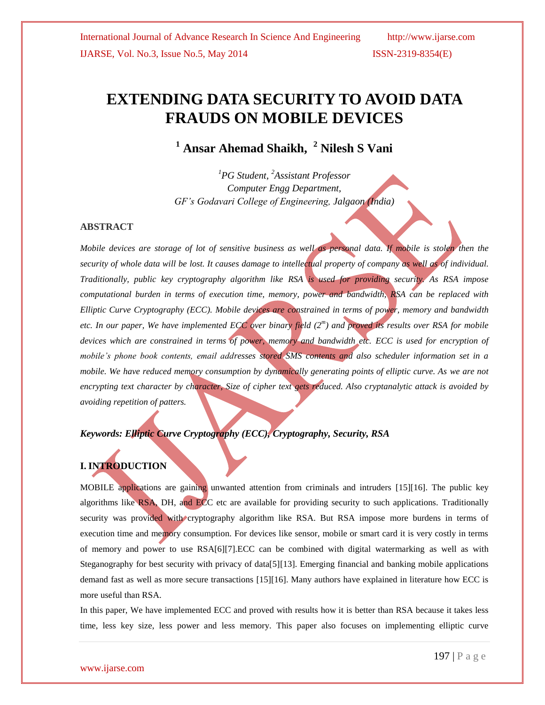# **EXTENDING DATA SECURITY TO AVOID DATA FRAUDS ON MOBILE DEVICES**

**<sup>1</sup> Ansar Ahemad Shaikh, <sup>2</sup> Nilesh S Vani**

*<sup>1</sup>PG Student, <sup>2</sup>Assistant Professor Computer Engg Department, GF's Godavari College of Engineering, Jalgaon (India)*

#### **ABSTRACT**

*Mobile devices are storage of lot of sensitive business as well as personal data. If mobile is stolen then the security of whole data will be lost. It causes damage to intellectual property of company as well as of individual. Traditionally, public key cryptography algorithm like RSA is used for providing security. As RSA impose computational burden in terms of execution time, memory, power and bandwidth, RSA can be replaced with Elliptic Curve Cryptography (ECC). Mobile devices are constrained in terms of power, memory and bandwidth etc. In our paper, We have implemented ECC over binary field (2<sup>m</sup> ) and proved its results over RSA for mobile devices which are constrained in terms of power, memory and bandwidth etc. ECC is used for encryption of mobile's phone book contents, email addresses stored SMS contents and also scheduler information set in a mobile. We have reduced memory consumption by dynamically generating points of elliptic curve. As we are not encrypting text character by character, Size of cipher text gets reduced. Also cryptanalytic attack is avoided by avoiding repetition of patters.*

### *Keywords: Elliptic Curve Cryptography (ECC), Cryptography, Security, RSA*

### **I. INTRODUCTION**

MOBILE applications are gaining unwanted attention from criminals and intruders [15][16]. The public key algorithms like RSA, DH, and ECC etc are available for providing security to such applications. Traditionally security was provided with cryptography algorithm like RSA. But RSA impose more burdens in terms of execution time and memory consumption. For devices like sensor, mobile or smart card it is very costly in terms of memory and power to use RSA[6][7].ECC can be combined with digital watermarking as well as with Steganography for best security with privacy of data[5][13]. Emerging financial and banking mobile applications demand fast as well as more secure transactions [15][16]. Many authors have explained in literature how ECC is more useful than RSA.

In this paper, We have implemented ECC and proved with results how it is better than RSA because it takes less time, less key size, less power and less memory. This paper also focuses on implementing elliptic curve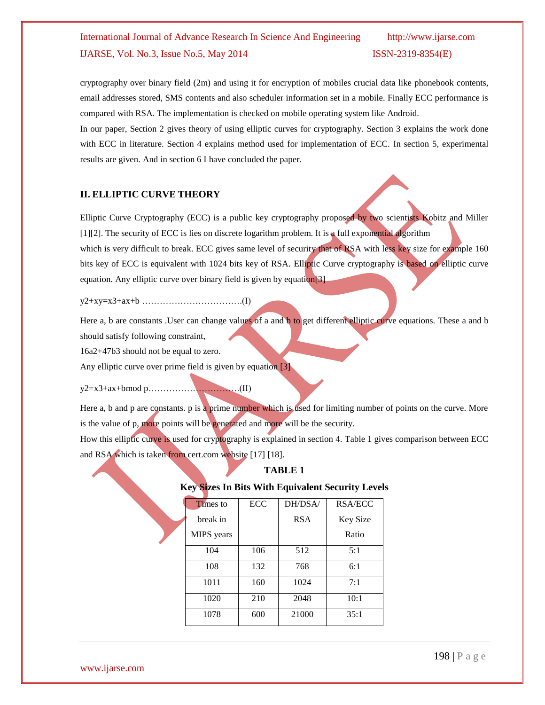cryptography over binary field (2m) and using it for encryption of mobiles crucial data like phonebook contents, email addresses stored, SMS contents and also scheduler information set in a mobile. Finally ECC performance is compared with RSA. The implementation is checked on mobile operating system like Android.

In our paper, Section 2 gives theory of using elliptic curves for cryptography. Section 3 explains the work done with ECC in literature. Section 4 explains method used for implementation of ECC. In section 5, experimental results are given. And in section 6 I have concluded the paper.

### **II. ELLIPTIC CURVE THEORY**

Elliptic Curve Cryptography (ECC) is a public key cryptography proposed by two scientists Kobitz and Miller [1][2]. The security of ECC is lies on discrete logarithm problem. It is a full exponential algorithm which is very difficult to break. ECC gives same level of security that of RSA with less key size for example 160 bits key of ECC is equivalent with 1024 bits key of RSA. Elliptic Curve cryptography is based on elliptic curve equation. Any elliptic curve over binary field is given by equation[3]

y2+xy=x3+ax+b …………………………….(I)

Here a, b are constants .User can change values of a and b to get different elliptic curve equations. These a and b should satisfy following constraint,

16a2+47b3 should not be equal to zero.

Any elliptic curve over prime field is given by equation [3]

y2=x3+ax+bmod p………………………….(II)

Here a, b and p are constants. p is a prime number which is used for limiting number of points on the curve. More is the value of p, more points will be generated and more will be the security.

How this elliptic curve is used for cryptography is explained in section 4. Table 1 gives comparison between ECC and RSA which is taken from cert.com website [17] [18].

### **TABLE 1**

#### **Key Sizes In Bits With Equivalent Security Levels**

| <b>Times</b> to | ECC | DH/DSA/    | RSA/ECC         |
|-----------------|-----|------------|-----------------|
| break in        |     | <b>RSA</b> | <b>Key Size</b> |
| MIPS years      |     |            | Ratio           |
| 104             | 106 | 512        | 5:1             |
| 108             | 132 | 768        | 6:1             |
| 1011            | 160 | 1024       | 7:1             |
| 1020            | 210 | 2048       | 10:1            |
| 1078            | 600 | 21000      | 35:1            |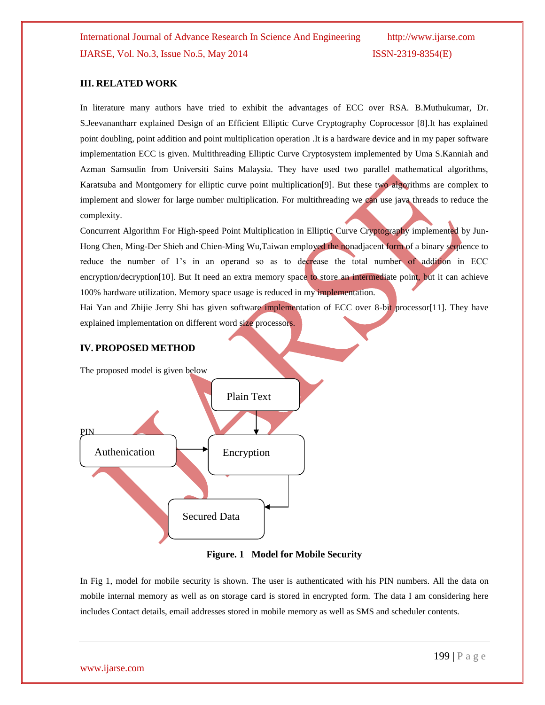#### **III. RELATED WORK**

In literature many authors have tried to exhibit the advantages of ECC over RSA. B.Muthukumar, Dr. S.Jeevanantharr explained Design of an Efficient Elliptic Curve Cryptography Coprocessor [8].It has explained point doubling, point addition and point multiplication operation .It is a hardware device and in my paper software implementation ECC is given. Multithreading Elliptic Curve Cryptosystem implemented by Uma S.Kanniah and Azman Samsudin from Universiti Sains Malaysia. They have used two parallel mathematical algorithms, Karatsuba and Montgomery for elliptic curve point multiplication<sup>[9]</sup>. But these two algorithms are complex to implement and slower for large number multiplication. For multithreading we can use java threads to reduce the complexity.

Concurrent Algorithm For High-speed Point Multiplication in Elliptic Curve Cryptography implemented by Jun-Hong Chen, Ming-Der Shieh and Chien-Ming Wu,Taiwan employed the nonadjacent form of a binary sequence to reduce the number of 1's in an operand so as to decrease the total number of addition in ECC encryption/decryption[10]. But It need an extra memory space to store an intermediate point, but it can achieve 100% hardware utilization. Memory space usage is reduced in my implementation.

Hai Yan and Zhijie Jerry Shi has given software implementation of ECC over 8-bit processor[11]. They have explained implementation on different word size processors.

### **IV. PROPOSED METHOD**

The proposed model is given below





In Fig 1, model for mobile security is shown. The user is authenticated with his PIN numbers. All the data on mobile internal memory as well as on storage card is stored in encrypted form. The data I am considering here includes Contact details, email addresses stored in mobile memory as well as SMS and scheduler contents.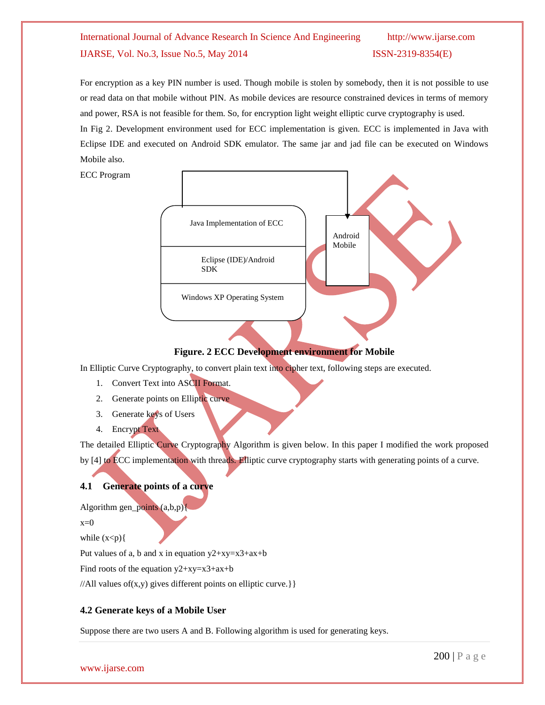For encryption as a key PIN number is used. Though mobile is stolen by somebody, then it is not possible to use or read data on that mobile without PIN. As mobile devices are resource constrained devices in terms of memory and power, RSA is not feasible for them. So, for encryption light weight elliptic curve cryptography is used. In Fig 2. Development environment used for ECC implementation is given. ECC is implemented in Java with Eclipse IDE and executed on Android SDK emulator. The same jar and jad file can be executed on Windows Mobile also.

ECC Program



### **Figure. 2 ECC Development environment for Mobile**

In Elliptic Curve Cryptography, to convert plain text into cipher text, following steps are executed.

- 1. Convert Text into ASCII Format.
- 2. Generate points on Elliptic curve
- 3. Generate keys of Users
- 4. Encrypt Text

The detailed Elliptic Curve Cryptography Algorithm is given below. In this paper I modified the work proposed by [4] to ECC implementation with threads. Elliptic curve cryptography starts with generating points of a curve.

### **4.1 Generate points of a curve**

Algorithm gen\_points (a,b,p){

 $x=0$ 

while  $(x < p)$ {

Put values of a, b and x in equation  $y2+xy=x3+ax+b$ 

Find roots of the equation  $y2+xy=x3+ax+b$ 

//All values of(x,y) gives different points on elliptic curve.} }

### **4.2 Generate keys of a Mobile User**

Suppose there are two users A and B. Following algorithm is used for generating keys.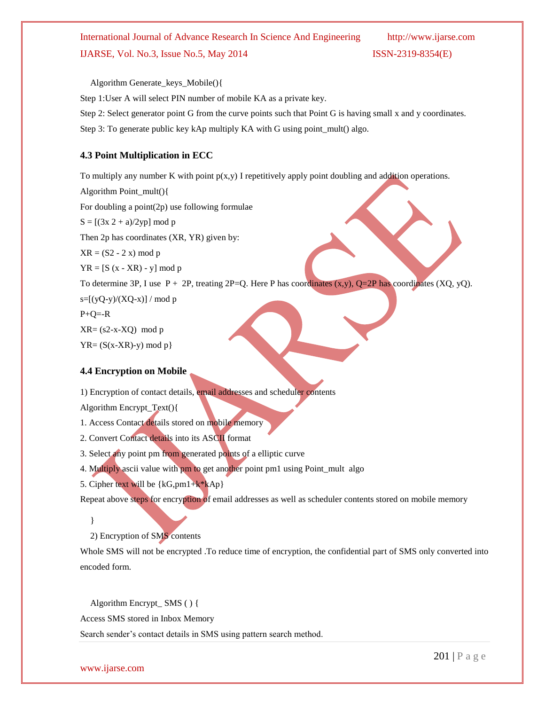Algorithm Generate\_keys\_Mobile(){

Step 1:User A will select PIN number of mobile KA as a private key.

Step 2: Select generator point G from the curve points such that Point G is having small x and y coordinates.

Step 3: To generate public key kAp multiply KA with G using point\_mult() algo.

#### **4.3 Point Multiplication in ECC**

To multiply any number K with point  $p(x,y)$  I repetitively apply point doubling and addition operations.

Algorithm Point\_mult(){ For doubling a point(2p) use following formulae  $S = [(3x 2 + a)/2yp] \text{ mod } p$ Then 2p has coordinates (XR, YR) given by:  $XR = (S2 - 2 x) \text{ mod } p$  $YR = [S (x - XR) - y] \mod p$ To determine 3P, I use  $P + 2P$ , treating  $2P = Q$ . Here P has coordinates  $(x, y)$ ,  $Q = 2P$  has coordinates  $(XQ, yQ)$ .  $s=[(yQ-y)/(XQ-x)]/mod p$  $P+Q=-R$  $XR = (s2-x-XQ) \mod p$ 

 $YR = (S(x-XR)-y) \mod p$ 

#### **4.4 Encryption on Mobile**

1) Encryption of contact details, email addresses and scheduler contents

Algorithm Encrypt\_Text(){

- 1. Access Contact details stored on mobile memory
- 2. Convert Contact details into its ASCII format
- 3. Select any point pm from generated points of a elliptic curve
- 4. Multiply ascii value with pm to get another point pm1 using Point\_mult algo
- 5. Cipher text will be {kG,pm1+k\*kAp}

Repeat above steps for encryption of email addresses as well as scheduler contents stored on mobile memory

}

2) Encryption of SMS contents

Whole SMS will not be encrypted .To reduce time of encryption, the confidential part of SMS only converted into encoded form.

Algorithm Encrypt\_ SMS ( ) {

Access SMS stored in Inbox Memory

Search sender"s contact details in SMS using pattern search method.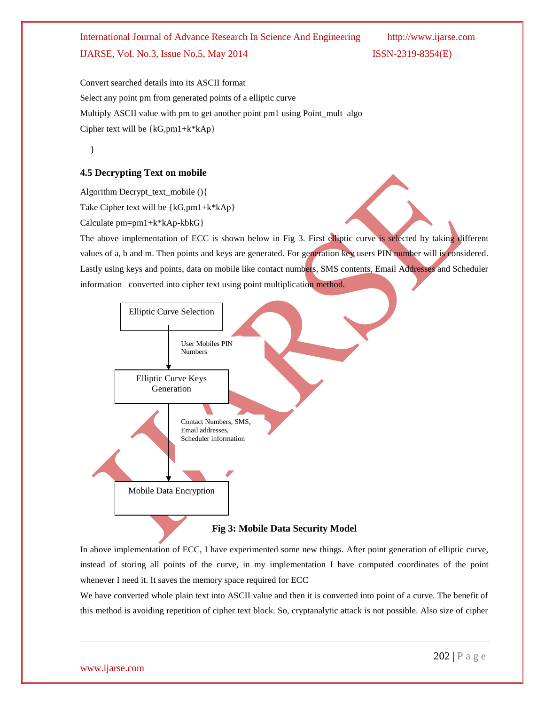Convert searched details into its ASCII format Select any point pm from generated points of a elliptic curve Multiply ASCII value with pm to get another point pm1 using Point\_mult algo Cipher text will be  $\{kG, pm1+k*kAp\}$ 

}

### **4.5 Decrypting Text on mobile**

Algorithm Decrypt\_text\_mobile (){

Take Cipher text will be {kG,pm1+k\*kAp}

Calculate pm=pm1+k\*kAp-kbkG}

The above implementation of ECC is shown below in Fig 3. First elliptic curve is selected by taking different values of a, b and m. Then points and keys are generated. For generation key users PIN number will is considered. Lastly using keys and points, data on mobile like contact numbers, SMS contents, Email Addresses and Scheduler information converted into cipher text using point multiplication method.



In above implementation of ECC, I have experimented some new things. After point generation of elliptic curve, instead of storing all points of the curve, in my implementation I have computed coordinates of the point whenever I need it. It saves the memory space required for ECC

We have converted whole plain text into ASCII value and then it is converted into point of a curve. The benefit of this method is avoiding repetition of cipher text block. So, cryptanalytic attack is not possible. Also size of cipher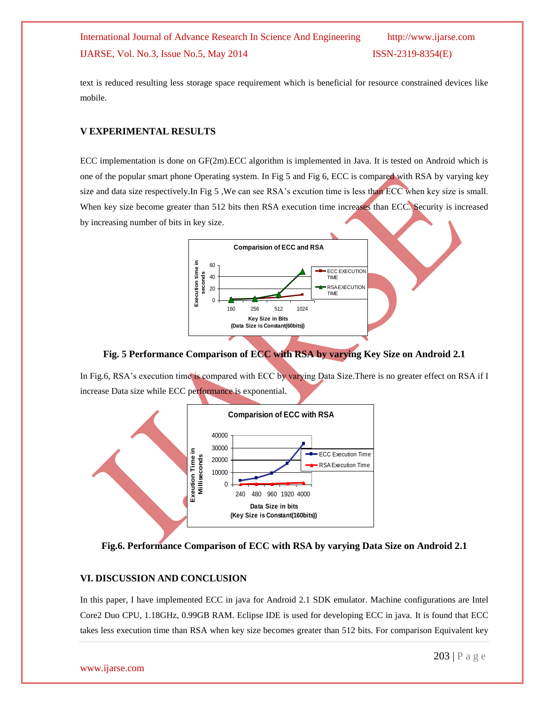text is reduced resulting less storage space requirement which is beneficial for resource constrained devices like mobile.

#### **V EXPERIMENTAL RESULTS**

ECC implementation is done on GF(2m).ECC algorithm is implemented in Java. It is tested on Android which is one of the popular smart phone Operating system. In Fig 5 and Fig 6, ECC is compared with RSA by varying key size and data size respectively. In Fig 5, We can see RSA's excution time is less than ECC when key size is small. When key size become greater than 512 bits then RSA execution time increases than ECC. Security is increased by increasing number of bits in key size.



**Fig. 5 Performance Comparison of ECC with RSA by varying Key Size on Android 2.1**

In Fig.6, RSA's execution time is compared with ECC by varying Data Size. There is no greater effect on RSA if I increase Data size while ECC performance is exponential.



#### **Fig.6. Performance Comparison of ECC with RSA by varying Data Size on Android 2.1**

### **VI. DISCUSSION AND CONCLUSION**

In this paper, I have implemented ECC in java for Android 2.1 SDK emulator. Machine configurations are Intel Core2 Duo CPU, 1.18GHz, 0.99GB RAM. Eclipse IDE is used for developing ECC in java. It is found that ECC takes less execution time than RSA when key size becomes greater than 512 bits. For comparison Equivalent key